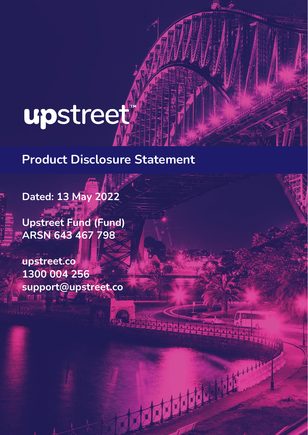# upstreet

## **Product Disclosure Statement**

Remarchistory of the

1

X

999anist.

Martin Barnett

**Dated: 13 May 2022**

**Upstreet Fund (Fund) ARSN 643 467 798**

**upstreet.co 1300 004 256 support@upstreet.co**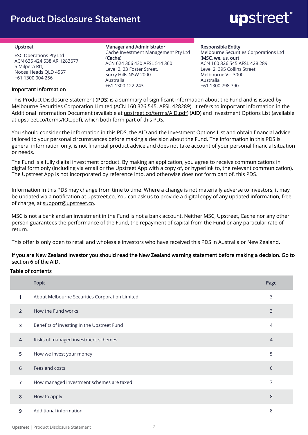### **Product Disclosure Statement**

# upstreet

#### Upstreet

ESC Operations Pty Ltd ACN 635 424 538 AR 1283677 5 Milpera Rtt, Noosa Heads QLD 4567 +61 1300 004 256

#### Manager and Administrator

Cache Investment Management Pty Ltd (Cache) ACN 624 306 430 AFSL 514 360 Level 2, 23 Foster Street, Surry Hills NSW 2000 Australia +61 1300 122 243 +61 1300 798 790 Important information

Responsible Entity Melbourne Securities Corporations Ltd (MSC, we, us, our) ACN 160 326 545 AFSL 428 289 Level 2, 395 Collins Street, Melbourne Vic 3000 Australia

This Product Disclosure Statement (PDS) is a summary of significant information about the Fund and is issued by Melbourne Securities Corporation Limited (ACN 160 326 545, AFSL 428289). It refers to important information in the Additional Information Document (available at [upstreet.co/terms/AID.pdf\)](https://www.cacheinvest.com.au/AID.pdf) (AID) and Investment Options List (available at upstreet.co/terms/IOL.pdf), which both form part of this PDS.

You should consider the information in this PDS, the AID and the Investment Options List and obtain financial advice tailored to your personal circumstances before making a decision about the Fund. The information in this PDS is general information only, is not financial product advice and does not take account of your personal financial situation or needs.

The Fund is a fully digital investment product. By making an application, you agree to receive communications in digital form only (including via email or the Upstreet App with a copy of, or hyperlink to, the relevant communication). The Upstreet App is not incorporated by reference into, and otherwise does not form part of, this PDS.

Information in this PDS may change from time to time. Where a change is not materially adverse to investors, it may be updated via a notification at [upstreet.co.](https://www.cacheinvest.com.au/PDS.pdf) You can ask us to provide a digital copy of any updated information, free of charge, at [support@upstreet.co.](mailto:support@upstreet.co)

MSC is not a bank and an investment in the Fund is not a bank account. Neither MSC, Upstreet, Cache nor any other person guarantees the performance of the Fund, the repayment of capital from the Fund or any particular rate of return.

This offer is only open to retail and wholesale investors who have received this PDS in Australia or New Zealand.

#### If you are New Zealand investor you should read the New Zealand warning statement before making a decision. Go to section 6 of the AID.

#### Table of contents

|                | <b>Topic</b>                                   | Page           |
|----------------|------------------------------------------------|----------------|
| 1              | About Melbourne Securities Corporation Limited | 3              |
| $\overline{2}$ | How the Fund works                             | 3              |
| 3              | Benefits of investing in the Upstreet Fund     | 4              |
| 4              | Risks of managed investment schemes            | $\overline{4}$ |
| 5              | How we invest your money                       | 5              |
| 6              | Fees and costs                                 | 6              |
| $\overline{7}$ | How managed investment schemes are taxed       | 7              |
| $\bf 8$        | How to apply                                   | 8              |
| 9              | Additional information                         | 8              |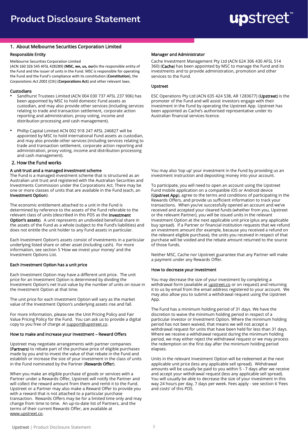#### 1. About Melbourne Securities Corporation Limited

#### Responsible Entity

Melbourne Securities Corporation Limited

(ACN 160 326 545 AFSL 428289) (**MSC, we, us, our**)is the responsible entity of the Fund and the issuer of units in the Fund. MSC is responsible for operating the Fund and the Fund's compliance with its constitution (**Constitution**), the *Corporations Act 2001* (Cth) (**Corporations Act**) and other relevant laws.

#### Custodians

- Sandhurst Trustees Limited (ACN 004 030 737 AFSL 237 906) has been appointed by MSC to hold domestic Fund assets as custodian, and may also provide other services (including services relating to trade and transaction settlement, corporate action reporting and administration, proxy voting, income and distribution processing and cash management).
- Phillip Capital Limited ACN 002 918 247 AFSL 246827 will be appointed by MSC to hold international Fund assets as custodian, and may also provide other services (including services relating to trade and transaction settlement, corporate action reporting and administration, proxy voting, income and distribution processing and cash management).

#### 2. How the Fund works

#### A unit trust and a managed investment scheme

The Fund is a managed investment scheme that is structured as an Australian unit trust and registered with the Australian Securities and Investments Commission under the Corporations Act. There may be one or more classes of units that are available in the Fund (each, an Investment Option).

The economic entitlement attached to a unit in the Fund is determined by reference to the assets of the Fund referable to the relevant class of units (described in this PDS as the Investment Option's assets). A unit represents an undivided beneficial share in the assets of the Fund as a whole (subject to the Fund's liabilities) and does not entitle the unit holder to any Fund assets in particular.

Each Investment Option's assets consist of investments in a particular underlying listed share or other asset (including cash). For more information, see section 5 'How we invest your money' and the Investment Options List.

#### Each Investment Option has a unit price

Each Investment Option may have a different unit price. The unit price for an Investment Option is determined by dividing the Investment Option's net trust value by the number of units on issue in the Investment Option at that time.

The unit price for each Investment Option will vary as the market value of the Investment Option's underlying assets rise and fall.

For more information, please see the Unit Pricing Policy and Fair Value Pricing Policy for the Fund. You can ask us to provide a digital copy to you free of charge at [support@upstreet.co.](mailto:support@upstreet.co)

#### How to make and increase your investment – Reward Offers

Upstreet may negotiate arrangements with partner companies (Partners) to rebate part of the purchase price of eligible purchases made by you and to invest the value of that rebate in the Fund and establish or increase the size of your investment in the class of units in the Fund nominated by the Partner (Rewards Offer).

When you make an eligible purchase of goods or services with a Partner under a Rewards Offer, Upstreet will notify the Partner and will collect the reward amount from them and remit it to the Fund. Upstreet or a Partner may also make a Reward Offer to provide you with a reward that is not attached to a particular purchase transaction. Rewards Offers may be for a limited time only and may change from time to time. An up-to-date list of Partners, and the terms of their current Rewards Offer, are available at [www.upstreet.co](http://www.upstreet.co/).

#### Manager and Administrator

Cache Investment Management Pty Ltd (ACN 624 306 430 AFSL 514 360) (Cache) has been appointed by MSC to manage the Fund and its investments and to provide administration, promotion and other services to the Fund.

#### Upstreet

ESC Operations Pty Ltd (ACN 635 424 538, AR 1283677) (Upstreet) is the promoter of the Fund and will assist investors engage with their investment in the Fund by operating the Upstreet App. Upstreet has been appointed as Cache's authorised representative under its Australian financial services licence.

You may also 'top up' your investment in the Fund by providing us an investment instruction and depositing money into your account.

To participate, you will need to open an account using the Upstreet Fund mobile application on a compatible iOS or Android device (Upstreet App), agree to the terms and conditions of participating in the Rewards Offers, and provide us sufficient information to track your transactions. When you've successfully opened an account and we've received and accepted your cleared funds (whether from you, Upstreet or the relevant Partner), you will be issued units in the relevant Investment Option at the next applicable unit price (plus any applicable buy spread). If a Partner or financial institution requests that we refund an investment amount (for example, because you received a refund on the relevant eligible purchase), the units you received in respect of that purchase will be voided and the rebate amount returned to the source of those funds.

Neither MSC, Cache nor Upstreet guarantee that any Partner will make a payment under any Rewards Offer.

#### How to decrease your investment

You may decrease the size of your investment by completing a withdrawal form (available at *upstreet.co* or on request) and returning it to us by email from the email address registered to your account. We may also allow you to submit a withdrawal request using the Upstreet App.

The Fund has a minimum holding period of 31 days. We have the discretion to waive the minimum holding period in respect of a particular investor or Investment Option. Where the minimum holding period has not been waived, that means we will not accept a withdrawal request for units that have been held for less than 31 days. Where we receive a withdrawal request during the minimum holding period, we may either reject the withdrawal request or we may process the redemption on the first day after the minimum holding period elapses.

Units in the relevant Investment Option will be redeemed at the next applicable unit price (less any applicable sell spread). Withdrawal amounts will be usually be paid to you within 5 - 7 days after we receive and accept your withdrawal request (less any applicable sell spread). You will usually be able to decrease the size of your investment in this way 24 hours per day, 7 days per week. Fees apply - see section 6 'Fees and costs' of this PDS.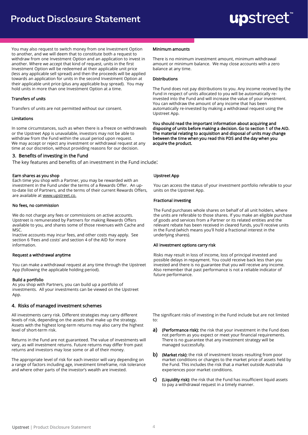### **Product Disclosure Statement**

# upstreet

You may also request to switch money from one Investment Option to another, and we will deem that to constitute both a request to withdraw from one Investment Option and an application to invest in another. Where we accept that kind of request, units in the first Investment Option will be redeemed at their applicable unit price (less any applicable sell spread) and then the proceeds will be applied towards an application for units in the second Investment Option at their applicable unit price (plus any applicable buy spread). You may hold units in more than one Investment Option at a time.

#### Transfers of units

Transfers of units are not permitted without our consent.

#### Limitations

In some circumstances, such as when there is a freeze on withdrawals or the Upstreet App is unavailable, investors may not be able to withdraw from the Fund within the usual period upon request. We may accept or reject any investment or withdrawal request at any time at our discretion, without providing reasons for our decision.

#### 3. Benefits of investing in the Fund

The key features and benefits of an investment in the Fund include:

#### Earn shares as you shop

Each time you shop with a Partner, you may be rewarded with an investment in the Fund under the terms of a Rewards Offer. An upto-date list of Partners, and the terms of their current Rewards Offers, are available at [www.upstreet.co.](http://www.upstreet.co/)

#### No fees, no commission

We do not charge any fees or commissions on active accounts. Upstreet is remunerated by Partners for making Rewards Offers available to you, and shares some of those revenues with Cache and **MSC** 

Inactive accounts may incur fees, and other costs may apply. See section 6 'Fees and costs' and section 4 of the AID for more information.

#### Request a withdrawal anytime

You can make a withdrawal request at any time through the Upstreet App (following the applicable holding period).

#### Build a portfolio

As you shop with Partners, you can build up a portfolio of investments. All your investments can be viewed on the Upstreet App.

#### 4. Risks of managed investment schemes

All investments carry risk. Different strategies may carry different levels of risk, depending on the assets that make up the strategy. Assets with the highest long-term returns may also carry the highest level of short-term risk.

Returns in the Fund are not guaranteed. The value of investments will vary, as will investment returns. Future returns may differ from past returns and investors may lose some or all of their money.

The appropriate level of risk for each investor will vary depending on a range of factors including age, investment timeframe, risk tolerance and where other parts of the investor's wealth are invested.

#### Minimum amounts

There is no minimum investment amount, minimum withdrawal amount or minimum balance. We may close accounts with a zero balance at any time.

#### **Distributions**

The Fund does not pay distributions to you. Any income received by the Fund in respect of units allocated to you will be automatically reinvested into the Fund and will increase the value of your investment. You can withdraw the amount of any income that has been automatically re-invested by making a withdrawal request using the Upstreet App.

You should read the important information about acquiring and disposing of units before making a decision. Go to section 1 of the AID. The material relating to acquisition and disposal of units may change between the time when you read this PDS and the day when you acquire the product.

#### Upstreet App

You can access the status of your investment portfolio referable to your units on the Upstreet App.

#### Fractional investing

The Fund purchases whole shares on behalf of all unit holders, where the units are referable to those shares. If you make an eligible purchase of goods and services from a Partner or its related entities and the relevant rebate has been received in cleared funds, you'll receive units in the Fund (which means you'll hold a fractional interest in the underlying shares).

#### All investment options carry risk

Risks may result in loss of income, loss of principal invested and possible delays in repayment. You could receive back less than you invested and there is no guarantee that you will receive any income. Also remember that past performance is not a reliable indicator of future performance.

The significant risks of investing in the Fund include but are not limited to:

- a) (Performance risk): the risk that your investment in the Fund does not perform as you expect or meet your financial requirements. There is no guarantee that any investment strategy will be managed successfully.
- b) (Market risk): the risk of investment losses resulting from poor market conditions or changes to the market price of assets held by the Fund. This includes the risk that a market outside Australia experiences poor market conditions.
- c) (Liquidity risk): the risk that the Fund has insufficient liquid assets to pay a withdrawal request in a timely manner.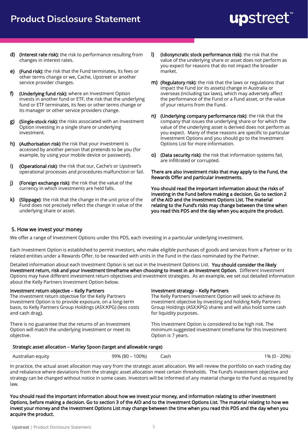- d) (Interest rate risk): the risk to performance resulting from changes in interest rates.
- e) (Fund risk): the risk that the Fund terminates, its fees or other terms change or we, Cache, Upstreet or another service provider changes.
- f) (Underlying fund risk): where an Investment Option invests in another fund or ETF, the risk that the underlying fund or ETF terminates, its fees or other terms change or its manager or other service providers change.
- g) (Single-stock risk): the risks associated with an Investment Option investing in a single share or underlying investment.
- h) (Authorisation risk) the risk that your investment is accessed by another person that pretends to be you (for example, by using your mobile device or password).
- i) **(Operational risk):** the risk that our, Cache's or Upstreet's operational processes and procedures malfunction or fail.
- j) (Foreign exchange risk): the risk that the value of the currency in which investments are held falls.
- k) (Slippage): the risk that the change in the unit price of the Fund does not precisely reflect the change in value of the underlying share or asset.
- l) (Idiosyncratic stock performance risk): the risk that the value of the underlying share or asset does not perform as you expect for reasons that do not impact the broader market.
- m) (Regulatory risk): the risk that the laws or regulations that impact the Fund (or its assets) change in Australia or overseas (including tax laws), which may adversely affect the performance of the Fund or a Fund asset, or the value of your returns from the Fund.
- n) (Underlying company performance risk): the risk that the company that issues the underlying share or for which the value of the underlying asset is derived does not perform as you expect. Many of these reasons are specific to particular Investment Options and you should go to the Investment Options List for more information.
- o) (Data security risk): the risk that information systems fail, are infiltrated or corrupted.

#### There are also investment risks that may apply to the Fund, the Rewards Offer and particular investments.

You should read the important information about the risks of investing in the Fund before making a decision. Go to section 2 of the AID and the Investment Options List. The material relating to the Fund's risks may change between the time when you read this PDS and the day when you acquire the product.

#### 5. How we invest your money

We offer a range of Investment Options under this PDS, each investing in a particular underlying investment.

Each Investment Option is established to permit investors, who make eligible purchases of goods and services from a Partner or its related entities under a Rewards Offer, to be rewarded with units in the Fund in the class nominated by the Partner.

Detailed information about each Investment Option is set out in the Investment Options List. You should consider the likely investment return, risk and your investment timeframe when choosing to invest in an Investment Option. Different Investment Options may have different investment return objectives and investment strategies. As an example, we set out detailed information about the Kelly Partners Investment Option below.

| Investment return objective - Kelly Partners                  | Investment strategy - Kelly Partners                          |
|---------------------------------------------------------------|---------------------------------------------------------------|
| The investment return objective for the Kelly Partners        | The Kelly Partners Investment Option will seek to achieve its |
| Investment Option is to provide exposure, on a long-term      | investment objective by investing and holding Kelly Partners  |
| basis, to Kelly Partners Group Holdings (ASX:KPG) (less costs | Group Holdings (ASX:KPG) shares and will also hold some cash  |
| and cash drag).                                               | for liquidity purposes.                                       |
| There is no guarantee that the returns of an Investment       | This Investment Option is considered to be high risk. The     |
| Option will match the underlying investment or meet its       | minimum suggested investment timeframe for this Investment    |
| objective.                                                    | Option is 7 years.                                            |

Strategic asset allocation – Marley Spoon (target and allowable range)

| Australian equity | 99% (80 - 100%) | Cash | 1% (0 - 20%) |
|-------------------|-----------------|------|--------------|
|                   |                 |      |              |

In practice, the actual asset allocation may vary from the strategic asset allocation. We will review the portfolio on each trading day and rebalance where deviations from the strategic asset allocation meet certain thresholds. The Fund's investment objective and strategy can be changed without notice in some cases. Investors will be informed of any material change to the Fund as required by law.

You should read the important information about how we invest your money, and information relating to other Investment Options, before making a decision. Go to section 3 of the AID and to the Investment Options List. The material relating to how we invest your money and the Investment Options List may change between the time when you read this PDS and the day when you acquire the product.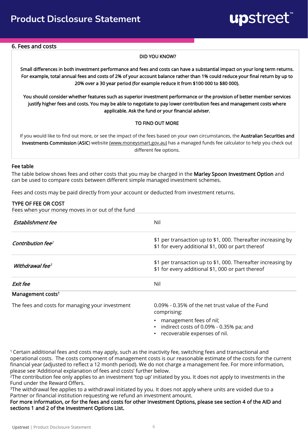#### 6. Fees and costs

#### DID YOU KNOW?

Small differences in both investment performance and fees and costs can have a substantial impact on your long term returns. For example, total annual fees and costs of 2% of your account balance rather than 1% could reduce your final return by up to 20% over a 30 year period (for example reduce it from \$100 000 to \$80 000).

You should consider whether features such as superior investment performance or the provision of better member services justify higher fees and costs. You may be able to negotiate to pay lower contribution fees and management costs where applicable. Ask the fund or your financial adviser.

#### TO FIND OUT MORE

If you would like to find out more, or see the impact of the fees based on your own circumstances, the Australian Securities and Investments Commission (ASIC) website (www.moneysmart.gov.au) has a managed funds fee calculator to help you check out different fee options.

#### Fee table

The table below shows fees and other costs that you may be charged in the **Marley Spoon Investment Option** and can be used to compare costs between different simple managed investment schemes.

Fees and costs may be paid directly from your account or deducted from investment returns.

#### TYPE OF FEE OR COST

Fees when your money moves in or out of the fund

| Establishment fee                               | Nil                                                                                                               |  |
|-------------------------------------------------|-------------------------------------------------------------------------------------------------------------------|--|
| Contribution fee <sup>2</sup>                   | \$1 per transaction up to \$1, 000. Thereafter increasing by<br>\$1 for every additional \$1, 000 or part thereof |  |
| Withdrawal fee <sup>3</sup>                     | \$1 per transaction up to \$1, 000. Thereafter increasing by<br>\$1 for every additional \$1, 000 or part thereof |  |
| Exit fee                                        | Nil                                                                                                               |  |
| Management costs <sup>1</sup>                   |                                                                                                                   |  |
| The fees and costs for managing your investment | $0.09\%$ $\leq$ 0.35% of the net trust value of the Eund                                                          |  |

The fees and costs for managing your investment  $0.09\%$  - 0.35% of the net trust value of the Fund

comprising:

- management fees of nil;
- indirect costs of 0.09% 0.35% pa; and
- recoverable expenses of nil.

<sup>1</sup>Certain additional fees and costs may apply, such as the inactivity fee, switching fees and transactional and operational costs. The costs component of management costs is our reasonable estimate of the costs for the current financial year (adjusted to reflect a 12 month period). We do not charge a management fee. For more information, please see 'Additional explanation of fees and costs' further below.

<sup>2</sup>The contribution fee only applies to an investment 'top up' initiated by you. It does not apply to investments in the Fund under the Reward Offers.

<sup>3</sup>The withdrawal fee applies to a withdrawal initiated by you. It does not apply where units are voided due to a Partner or financial institution requesting we refund an investment amount.

For more information, or for the fees and costs for other Investment Options, please see section 4 of the AID and sections 1 and 2 of the Investment Options List.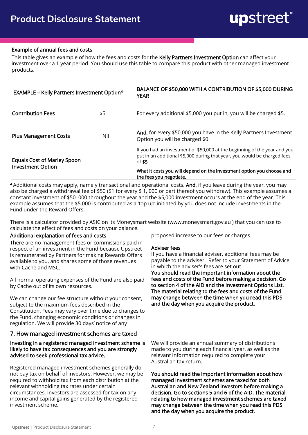#### Example of annual fees and costs

This table gives an example of how the fees and costs for the Kelly Partners Investment Option can affect your investment over a 1 year period. You should use this table to compare this product with other managed investment products.

| <b>EXAMPLE - Kelly Partners Investment Option4</b> |     | BALANCE OF \$50,000 WITH A CONTRIBUTION OF \$5,000 DURING<br><b>YEAR</b>                                                                                         |  |
|----------------------------------------------------|-----|------------------------------------------------------------------------------------------------------------------------------------------------------------------|--|
| <b>Contribution Fees</b>                           | \$5 | For every additional \$5,000 you put in, you will be charged \$5.                                                                                                |  |
| <b>Plus Management Costs</b>                       | Nil | And, for every \$50,000 you have in the Kelly Partners Investment<br>Option you will be charged \$0.                                                             |  |
| <b>Equals Cost of Marley Spoon</b>                 |     | If you had an investment of \$50,000 at the beginning of the year and you<br>put in an additional \$5,000 during that year, you would be charged fees<br>of $$5$ |  |
| <b>Investment Option</b>                           |     | What it costs you will depend on the investment option you choose and<br>the fees you negotiate.                                                                 |  |

4 Additional costs may apply, namely transactional and operational costs. And, if you leave during the year, you may also be charged a withdrawal fee of \$50 (\$1 for every \$ 1, 000 or part thereof you withdraw). This example assumes a constant investment of \$50, 000 throughout the year and the \$5,000 investment occurs at the end of the year. This example assumes that the \$5,000 is contributed as a 'top up' initiated by you does not include investments in the Fund under the Reward Offers.

There is a calculator provided by ASIC on its Moneysmart website (www.moneysmart.gov.au ) that you can use to calculate the effect of fees and costs on your balance.

#### Additional explanation of fees and costs

There are no management fees or commissions paid in respect of an investment in the Fund because Upstreet is remunerated by Partners for making Rewards Offers available to you, and shares some of those revenues with Cache and MSC.

All normal operating expenses of the Fund are also paid by Cache out of its own resources.

We can change our fee structure without your consent, subject to the maximum fees described in the Constitution. Fees may vary over time due to changes to the Fund, changing economic conditions or changes in regulation. We will provide 30 days' notice of any

#### 7. How managed investment schemes are taxed

#### Investing in a registered managed investment scheme is likely to have tax consequences and you are strongly advised to seek professional tax advice.

Registered managed investment schemes generally do not pay tax on behalf of investors. However, we may be required to withhold tax from each distribution at the relevant withholding tax rates under certain circumstances. Investors are assessed for tax on any income and capital gains generated by the registered investment scheme.

proposed increase to our fees or charges.

#### Adviser fees

If you have a financial adviser, additional fees may be payable to the adviser. Refer to your Statement of Advice in which the adviser's fees are set out.

You should read the important information about the fees and costs of the Fund before making a decision. Go to section 4 of the AID and the Investment Options List. The material relating to the fees and costs of the Fund may change between the time when you read this PDS and the day when you acquire the product.

We will provide an annual summary of distributions made to you during each financial year, as well as the relevant information required to complete your Australian tax return.

You should read the important information about how managed investment schemes are taxed for both Australian and New Zealand investors before making a decision. Go to sections 5 and 6 of the AID. The material relating to how managed investment schemes are taxed may change between the time when you read this PDS and the day when you acquire the product.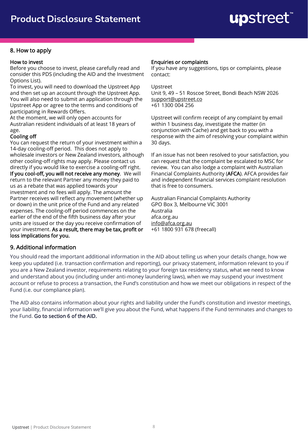#### 8. How to apply

#### How to invest

Before you choose to invest, please carefully read and consider this PDS (including the AID and the Investment Options List).

To invest, you will need to download the Upstreet App and then set up an account through the Upstreet App. You will also need to submit an application through the Upstreet App or agree to the terms and conditions of participating in Rewards Offers.

At the moment, we will only open accounts for Australian resident individuals of at least 18 years of age.

#### Cooling off

You can request the return of your investment within a 14-day cooling-off period. This does not apply to wholesale investors or New Zealand investors, although other cooling-off rights may apply. Please contact us directly if you would like to exercise a cooling-off right. If you cool-off, you will not receive any money. We will return to the relevant Partner any money they paid to us as a rebate that was applied towards your investment and no fees will apply. The amount the Partner receives will reflect any movement (whether up or down) in the unit price of the Fund and any related expenses. The cooling-off period commences on the earlier of the end of the fifth business day after your units are issued or the day you receive confirmation of your investment. As a result, there may be tax, profit or loss implications for you.

#### Enquiries or complaints

If you have any suggestions, tips or complaints, please contact:

Upstreet Unit 9, 49 – 51 Roscoe Street, Bondi Beach NSW 2026 [support@upstreet.co](mailto:support@upstreet.co) +61 1300 004 256

Upstreet will confirm receipt of any complaint by email within 1 business day, investigate the matter (in conjunction with Cache) and get back to you with a response with the aim of resolving your complaint within 30 days.

If an issue has not been resolved to your satisfaction, you can request that the complaint be escalated to MSC for review. You can also lodge a complaint with Australian Financial Complaints Authority (AFCA). AFCA provides fair and independent financial services complaint resolution that is free to consumers.

Australian Financial Complaints Authority GPO Box 3, Melbourne VIC 3001 Australia afca.org.au [info@afca.org.au](mailto:info@afca.org.au) +61 1800 931 678 (freecall)

#### 9. Additional information

You should read the important additional information in the AID about telling us when your details change, how we keep you updated (i.e. transaction confirmation and reporting), our privacy statement, information relevant to you if you are a New Zealand investor, requirements relating to your foreign tax residency status, what we need to know and understand about you (including under anti-money laundering laws), when we may suspend your investment account or refuse to process a transaction, the Fund's constitution and how we meet our obligations in respect of the Fund (i.e. our compliance plan).

The AID also contains information about your rights and liability under the Fund's constitution and investor meetings, your liability, financial information we'll give you about the Fund, what happens if the Fund terminates and changes to the Fund. Go to section 6 of the AID.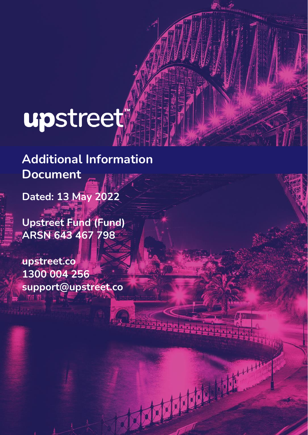# upstreet

**Additional Information Document**

**Dated: 13 May 2022**

**Upstreet Fund (Fund) ARSN 643 467 798**

**upstreet.co 1300 004 256 support@upstreet.co**

1

X

**Peggart**.

Martin Barnett

Remarchion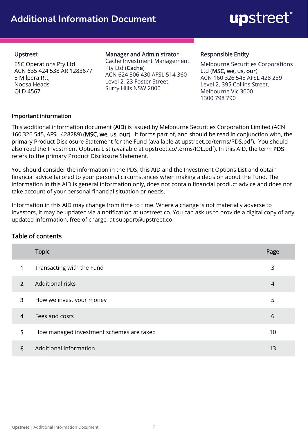## **Additional Information Document**



#### Upstreet

ESC Operations Pty Ltd ACN 635 424 538 AR 1283677 5 Milpera Rtt, Noosa Heads QLD 4567

Manager and Administrator

Cache Investment Management Pty Ltd (Cache) ACN 624 306 430 AFSL 514 360 Level 2, 23 Foster Street, Surry Hills NSW 2000

#### Responsible Entity

Melbourne Securities Corporations Ltd (MSC, we, us, our) ACN 160 326 545 AFSL 428 289 Level 2, 395 Collins Street, Melbourne Vic 3000 1300 798 790

#### Important information

This additional information document (AID) is issued by Melbourne Securities Corporation Limited (ACN 160 326 545, AFSL 428289) (MSC, we, us, our). It forms part of, and should be read in conjunction with, the primary Product Disclosure Statement for the Fund (available at upstreet.co/terms/PDS.pdf). You should also read the Investment Options List (available at upstreet.co/terms/IOL.pdf). In this AID, the term PDS refers to the primary Product Disclosure Statement.

You should consider the information in the PDS, this AID and the Investment Options List and obtain financial advice tailored to your personal circumstances when making a decision about the Fund. The information in this AID is general information only, does not contain financial product advice and does not take account of your personal financial situation or needs.

Information in this AID may change from time to time. Where a change is not materially adverse to investors, it may be updated via a notification at upstreet.co. You can ask us to provide a digital copy of any updated information, free of charge, at support@upstreet.co.

#### Table of contents

|               | <b>Topic</b>                             | Page           |
|---------------|------------------------------------------|----------------|
| 1             | Transacting with the Fund                | 3              |
| $\mathcal{P}$ | <b>Additional risks</b>                  | $\overline{4}$ |
| 3             | How we invest your money                 | 5              |
| 4             | Fees and costs                           | 6              |
| 5             | How managed investment schemes are taxed | 10             |
| 6             | Additional information                   | 13             |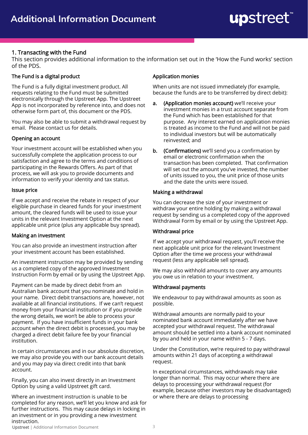#### 1. Transacting with the Fund

This section provides additional information to the information set out in the 'How the Fund works' section of the PDS.

#### The Fund is a digital product

The Fund is a fully digital investment product. All requests relating to the Fund must be submitted electronically through the Upstreet App. The Upstreet App is not incorporated by reference into, and does not otherwise form part of, this document or the PDS.

You may also be able to submit a withdrawal request by email. Please contact us for details.

#### Opening an account

Your investment account will be established when you successfully complete the application process to our satisfaction and agree to the terms and conditions of participating in the Rewards Offers. As part of that process, we will ask you to provide documents and information to verify your identity and tax status.

#### Issue price

If we accept and receive the rebate in respect of your eligible purchase in cleared funds for your investment amount, the cleared funds will be used to issue your units in the relevant Investment Option at the next applicable unit price (plus any applicable buy spread).

#### Making an investment

You can also provide an investment instruction after your investment account has been established.

An investment instruction may be provided by sending us a completed copy of the approved Investment Instruction Form by email or by using the Upstreet App.

Payment can be made by direct debit from an Australian bank account that you nominate and hold in your name. Direct debit transactions are, however, not available at all financial institutions. If we can't request money from your financial institution or if you provide the wrong details, we won't be able to process your payment. If you have insufficient funds in your bank account when the direct debit is processed, you may be charged a direct debit failure fee by your financial institution.

In certain circumstances and in our absolute discretion, we may also provide you with our bank account details and you may pay via direct credit into that bank account.

Finally, you can also invest directly in an Investment Option by using a valid Upstreet gift card.

Where an investment instruction is unable to be completed for any reason, we'll let you know and ask for further instructions. This may cause delays in locking in an investment or in you providing a new investment instruction.

#### Application monies

When units are not issued immediately (for example, because the funds are to be transferred by direct debit):

- a. (Application monies account) we'll receive your investment monies in a trust account separate from the Fund which has been established for that purpose. Any interest earned on application monies is treated as income to the Fund and will not be paid to individual investors but will be automatically reinvested; and
- b. (Confirmations) we'll send you a confirmation by email or electronic confirmation when the transaction has been completed. That confirmation will set out the amount you've invested, the number of units issued to you, the unit price of those units and the date the units were issued.

#### Making a withdrawal

You can decrease the size of your investment or withdraw your entire holding by making a withdrawal request by sending us a completed copy of the approved Withdrawal Form by email or by using the Upstreet App.

#### Withdrawal price

If we accept your withdrawal request, you'll receive the next applicable unit price for the relevant Investment Option after the time we process your withdrawal request (less any applicable sell spread).

We may also withhold amounts to cover any amounts you owe us in relation to your investment.

#### Withdrawal payments

We endeavour to pay withdrawal amounts as soon as possible.

Withdrawal amounts are normally paid to your nominated bank account immediately after we have accepted your withdrawal request. The withdrawal amount should be settled into a bank account nominated by you and held in your name within 5 - 7 days.

Under the Constitution, we're required to pay withdrawal amounts within 21 days of accepting a withdrawal request.

In exceptional circumstances, withdrawals may take longer than normal. This may occur where there are delays to processing your withdrawal request (for example, because other investors may be disadvantaged) or where there are delays to processing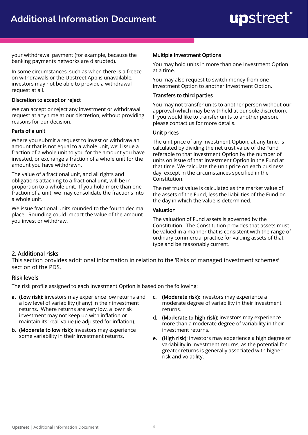your withdrawal payment (for example, because the banking payments networks are disrupted).

In some circumstances, such as when there is a freeze on withdrawals or the Upstreet App is unavailable, investors may not be able to provide a withdrawal request at all.

#### Discretion to accept or reject

We can accept or reject any investment or withdrawal request at any time at our discretion, without providing reasons for our decision.

#### Parts of a unit

Where you submit a request to invest or withdraw an amount that is not equal to a whole unit, we'll issue a fraction of a whole unit to you for the amount you have invested, or exchange a fraction of a whole unit for the amount you have withdrawn.

The value of a fractional unit, and all rights and obligations attaching to a fractional unit, will be in proportion to a whole unit. If you hold more than one fraction of a unit, we may consolidate the fractions into a whole unit.

We issue fractional units rounded to the fourth decimal place. Rounding could impact the value of the amount you invest or withdraw.

#### Multiple Investment Options

You may hold units in more than one Investment Option at a time.

You may also request to switch money from one Investment Option to another Investment Option.

#### Transfers to third parties

You may not transfer units to another person without our approval (which may be withheld at our sole discretion). If you would like to transfer units to another person, please contact us for more details.

#### Unit prices

The unit price of any Investment Option, at any time, is calculated by dividing the net trust value of the Fund referable to that Investment Option by the number of units on issue of that Investment Option in the Fund at that time. We calculate the unit price on each business day, except in the circumstances specified in the Constitution.

The net trust value is calculated as the market value of the assets of the Fund, less the liabilities of the Fund on the day in which the value is determined.

#### Valuation

The valuation of Fund assets is governed by the Constitution. The Constitution provides that assets must be valued in a manner that is consistent with the range of ordinary commercial practice for valuing assets of that type and be reasonably current.

#### 2. Additional risks

This section provides additional information in relation to the 'Risks of managed investment schemes' section of the PDS.

#### Risk levels

The risk profile assigned to each Investment Option is based on the following:

- a. (Low risk): investors may experience low returns and a low level of variability (if any) in their investment returns. Where returns are very low, a low risk investment may not keep up with inflation or maintain its 'real' value (ie adjusted for inflation).
- b. (Moderate to low risk): investors may experience some variability in their investment returns.
- c. (Moderate risk): investors may experience a moderate degree of variability in their investment returns.
- d. (Moderate to high risk): investors may experience more than a moderate degree of variability in their investment returns.
- e. (High risk): investors may experience a high degree of variability in investment returns, as the potential for greater returns is generally associated with higher risk and volatility.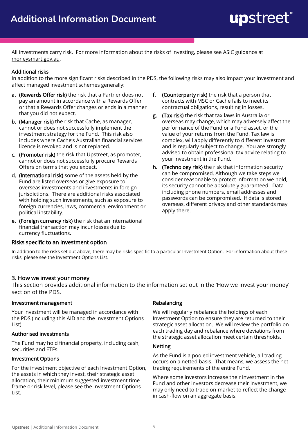All investments carry risk. For more information about the risks of investing, please see ASIC guidance at [moneysmart.gov.au](https://www.moneysmart.gov.au/).

#### Additional risks

In addition to the more significant risks described in the PDS, the following risks may also impact your investment and affect managed investment schemes generally:

- a. (Rewards Offer risk) the risk that a Partner does not pay an amount in accordance with a Rewards Offer or that a Rewards Offer changes or ends in a manner that you did not expect.
- b. (Manager risk) the risk that Cache, as manager, cannot or does not successfully implement the investment strategy for the Fund. This risk also includes where Cache's Australian financial services licence is revoked and is not replaced.
- c. (Promoter risk) the risk that Upstreet, as promoter, cannot or does not successfully procure Rewards Offers on terms that you expect.
- d. (International risk) some of the assets held by the Fund are listed overseas or give exposure to overseas investments and investments in foreign jurisdictions. There are additional risks associated with holding such investments, such as exposure to foreign currencies, laws, commercial environment or political instability.
- e. (Foreign currency risk) the risk that an international financial transaction may incur losses due to currency fluctuations.
- f. (Counterparty risk) the risk that a person that contracts with MSC or Cache fails to meet its contractual obligations, resulting in losses.
- g. (Tax risk) the risk that tax laws in Australia or overseas may change, which may adversely affect the performance of the Fund or a Fund asset, or the value of your returns from the Fund. Tax law is complex, will apply differently to different investors and is regularly subject to change. You are strongly advised to obtain professional tax advice relating to your investment in the Fund.
- h. (Technology risk) the risk that information security can be compromised. Although we take steps we consider reasonable to protect information we hold, its security cannot be absolutely guaranteed. Data including phone numbers, email addresses and passwords can be compromised. If data is stored overseas, different privacy and other standards may apply there.

#### Risks specific to an investment option

In addition to the risks set out above, there may be risks specific to a particular Investment Option. For information about these risks, please see the Investment Options List.

#### 3. How we invest your money

This section provides additional information to the information set out in the 'How we invest your money' section of the PDS.

#### Investment management

Your investment will be managed in accordance with the PDS (including this AID and the Investment Options List).

#### Authorised investments

The Fund may hold financial property, including cash, securities and ETFs.

#### Investment Options

For the investment objective of each Investment Option, the assets in which they invest, their strategic asset allocation, their minimum suggested investment time frame or risk level, please see the Investment Options List.

#### Rebalancing

We will regularly rebalance the holdings of each Investment Option to ensure they are returned to their strategic asset allocation. We will review the portfolio on each trading day and rebalance where deviations from the strategic asset allocation meet certain thresholds.

#### Netting

As the Fund is a pooled investment vehicle, all trading occurs on a netted basis. That means, we assess the net trading requirements of the entire Fund.

Where some investors increase their investment in the Fund and other investors decrease their investment, we may only need to trade on-market to reflect the change in cash-flow on an aggregate basis.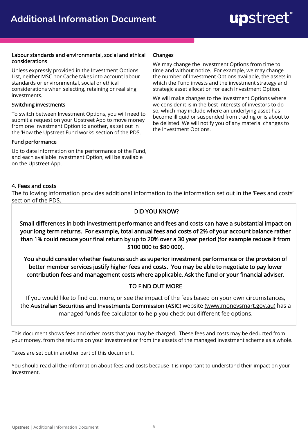#### Labour standards and environmental, social and ethical considerations

Unless expressly provided in the Investment Options List, neither MSC nor Cache takes into account labour standards or environmental, social or ethical considerations when selecting, retaining or realising investments.

#### Switching investments

To switch between Investment Options, you will need to submit a request on your Upstreet App to move money from one Investment Option to another, as set out in the 'How the Upstreet Fund works' section of the PDS.

#### Fund performance

Up to date information on the performance of the Fund, and each available Investment Option, will be available on the Upstreet App.

#### Changes

We may change the Investment Options from time to time and without notice. For example, we may change the number of Investment Options available, the assets in which the Fund invests and the investment strategy and strategic asset allocation for each Investment Option.

We will make changes to the Investment Options where we consider it is in the best interests of investors to do so, which may include where an underlying asset has become illiquid or suspended from trading or is about to be delisted. We will notify you of any material changes to the Investment Options.

#### 4. Fees and costs

The following information provides additional information to the information set out in the 'Fees and costs' section of the PDS.

#### DID YOU KNOW?

Small differences in both investment performance and fees and costs can have a substantial impact on your long term returns. For example, total annual fees and costs of 2% of your account balance rather than 1% could reduce your final return by up to 20% over a 30 year period (for example reduce it from \$100 000 to \$80 000).

You should consider whether features such as superior investment performance or the provision of better member services justify higher fees and costs. You may be able to negotiate to pay lower contribution fees and management costs where applicable. Ask the fund or your financial adviser.

#### TO FIND OUT MORE

If you would like to find out more, or see the impact of the fees based on your own circumstances, the Australian Securities and Investments Commission (ASIC) website (www.moneysmart.gov.au) has a managed funds fee calculator to help you check out different fee options.

This document shows fees and other costs that you may be charged. These fees and costs may be deducted from your money, from the returns on your investment or from the assets of the managed investment scheme as a whole.

Taxes are set out in another part of this document.

You should read all the information about fees and costs because it is important to understand their impact on your investment.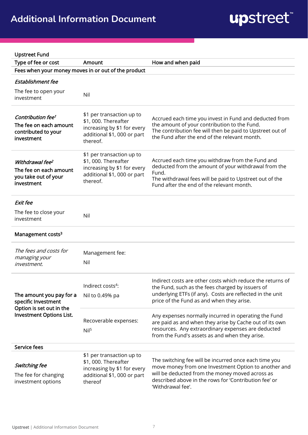upstreet"

#### Upstreet Fund

| upstreet Fund                                                                                |                                                                                                                            |                                                                                                                                                                                                                                                |  |
|----------------------------------------------------------------------------------------------|----------------------------------------------------------------------------------------------------------------------------|------------------------------------------------------------------------------------------------------------------------------------------------------------------------------------------------------------------------------------------------|--|
| Type of fee or cost                                                                          | Amount                                                                                                                     | How and when paid                                                                                                                                                                                                                              |  |
| Fees when your money moves in or out of the product                                          |                                                                                                                            |                                                                                                                                                                                                                                                |  |
| Establishment fee                                                                            |                                                                                                                            |                                                                                                                                                                                                                                                |  |
| The fee to open your<br>investment                                                           | Nil                                                                                                                        |                                                                                                                                                                                                                                                |  |
| Contribution fee <sup>1</sup><br>The fee on each amount<br>contributed to your<br>investment | \$1 per transaction up to<br>\$1,000. Thereafter<br>increasing by \$1 for every<br>additional \$1, 000 or part<br>thereof. | Accrued each time you invest in Fund and deducted from<br>the amount of your contribution to the Fund.<br>The contribution fee will then be paid to Upstreet out of<br>the Fund after the end of the relevant month.                           |  |
| Withdrawal fee <sup>2</sup><br>The fee on each amount<br>you take out of your<br>investment  | \$1 per transaction up to<br>\$1,000. Thereafter<br>increasing by \$1 for every<br>additional \$1, 000 or part<br>thereof. | Accrued each time you withdraw from the Fund and<br>deducted from the amount of your withdrawal from the<br>Fund.<br>The withdrawal fees will be paid to Upstreet out of the<br>Fund after the end of the relevant month.                      |  |
| <b>Exit fee</b>                                                                              |                                                                                                                            |                                                                                                                                                                                                                                                |  |
| The fee to close your<br>investment                                                          | Nil                                                                                                                        |                                                                                                                                                                                                                                                |  |
| Management costs <sup>3</sup>                                                                |                                                                                                                            |                                                                                                                                                                                                                                                |  |
| The fees and costs for<br>managing your<br>investment.                                       | Management fee:<br>Nil                                                                                                     |                                                                                                                                                                                                                                                |  |
| The amount you pay for a<br>specific Investment                                              | Indirect costs <sup>4</sup> :<br>Nil to 0.49% pa                                                                           | Indirect costs are other costs which reduce the returns of<br>the Fund, such as the fees charged by issuers of<br>underlying ETFs (if any). Costs are reflected in the unit<br>price of the Fund as and when they arise.                       |  |
| Option is set out in the<br>Investment Options List.                                         | Recoverable expenses:<br>Ni <sup>5</sup>                                                                                   | Any expenses normally incurred in operating the Fund<br>are paid as and when they arise by Cache out of its own<br>resources. Any extraordinary expenses are deducted<br>from the Fund's assets as and when they arise.                        |  |
| Service fees                                                                                 |                                                                                                                            |                                                                                                                                                                                                                                                |  |
| <b>Switching fee</b><br>The fee for changing<br>investment options                           | \$1 per transaction up to<br>\$1,000. Thereafter<br>increasing by \$1 for every<br>additional \$1, 000 or part<br>thereof  | The switching fee will be incurred once each time you<br>move money from one Investment Option to another and<br>will be deducted from the money moved across as<br>described above in the rows for 'Contribution fee' or<br>'Withdrawal fee'. |  |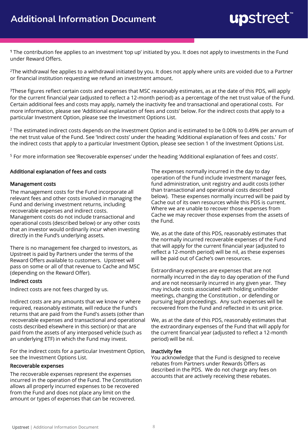

<sup>1</sup> The contribution fee applies to an investment 'top up' initiated by you. It does not apply to investments in the Fund under Reward Offers.

<sup>2</sup>The withdrawal fee applies to a withdrawal initiated by you. It does not apply where units are voided due to a Partner or financial institution requesting we refund an investment amount.

<sup>3</sup>These figures reflect certain costs and expenses that MSC reasonably estimates, as at the date of this PDS, will apply for the current financial year (adjusted to reflect a 12-month period) as a percentage of the net trust value of the Fund. Certain additional fees and costs may apply, namely the inactivity fee and transactional and operational costs. For more information, please see 'Additional explanation of fees and costs' below. For the indirect costs that apply to a particular Investment Option, please see the Investment Options List.

<sup>2</sup> The estimated indirect costs depends on the Investment Option and is estimated to be 0.00% to 0.49% per annum of the net trust value of the Fund. See 'Indirect costs' under the heading 'Additional explanation of fees and costs.' For the indirect costs that apply to a particular Investment Option, please see section 1 of the Investment Options List.

<sup>5</sup> For more information see 'Recoverable expenses' under the heading 'Additional explanation of fees and costs'.

#### Additional explanation of fees and costs

#### Management costs

The management costs for the Fund incorporate all relevant fees and other costs involved in managing the Fund and deriving investment returns, including recoverable expenses and indirect costs. Management costs do not include transactional and operational costs (described below) or any other costs that an investor would ordinarily incur when investing directly in the Fund's underlying assets.

There is no management fee charged to investors, as Upstreet is paid by Partners under the terms of the Reward Offers available to customers. Upstreet will pass on some or all of that revenue to Cache and MSC (depending on the Reward Offer).

#### Indirect costs

Indirect costs are not fees charged by us.

Indirect costs are any amounts that we know or where required, reasonably estimate, will reduce the Fund's returns that are paid from the Fund's assets (other than recoverable expenses and transactional and operational costs described elsewhere in this section) or that are paid from the assets of any interposed vehicle (such as an underlying ETF) in which the Fund may invest.

For the indirect costs for a particular Investment Option, see the Investment Options List.

#### Recoverable expenses

The recoverable expenses represent the expenses incurred in the operation of the Fund. The Constitution allows all properly incurred expenses to be recovered from the Fund and does not place any limit on the amount or types of expenses that can be recovered.

The expenses normally incurred in the day to day operation of the Fund include investment manager fees, fund administration, unit registry and audit costs (other than transactional and operational costs described below). These expenses normally incurred will be paid by Cache out of its own resources while this PDS is current. Where we are unable to recover those expenses from Cache we may recover those expenses from the assets of the Fund.

We, as at the date of this PDS, reasonably estimates that the normally incurred recoverable expenses of the Fund that will apply for the current financial year (adjusted to reflect a 12-month period) will be nil, as these expenses will be paid out of Cache's own resources.

Extraordinary expenses are expenses that are not normally incurred in the day to day operation of the Fund and are not necessarily incurred in any given year. They may include costs associated with holding unitholder meetings, changing the Constitution , or defending or pursuing legal proceedings. Any such expenses will be recovered from the Fund and reflected in its unit price.

We, as at the date of this PDS, reasonably estimates that the extraordinary expenses of the Fund that will apply for the current financial year (adjusted to reflect a 12-month period) will be nil.

#### Inactivity fee

You acknowledge that the Fund is designed to receive rebates from Partners under Rewards Offers as described in the PDS. We do not charge any fees on accounts that are actively receiving these rebates.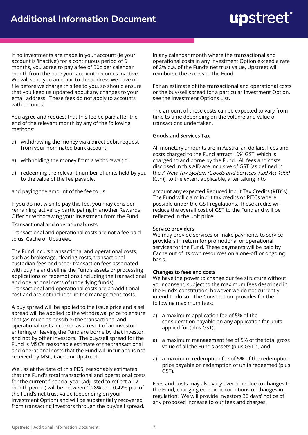If no investments are made in your account (ie your account is 'inactive') for a continuous period of 6 months, you agree to pay a fee of 50c per calendar month from the date your account becomes inactive. We will send you an email to the address we have on file before we charge this fee to you, so should ensure that you keep us updated about any changes to your email address. These fees do not apply to accounts with no units.

You agree and request that this fee be paid after the end of the relevant month by any of the following methods:

- a) withdrawing the money via a direct debit request from your nominated bank account;
- a) withholding the money from a withdrawal; or
- a) redeeming the relevant number of units held by you to the value of the fee payable,

and paying the amount of the fee to us.

If you do not wish to pay this fee, you may consider remaining 'active' by participating in another Rewards Offer or withdrawing your investment from the Fund.

#### Transactional and operational costs

Transactional and operational costs are not a fee paid to us, Cache or Upstreet.

The Fund incurs transactional and operational costs, such as brokerage, clearing costs, transactional custodian fees and other transaction fees associated with buying and selling the Fund's assets or processing applications or redemptions (including the transactional and operational costs of underlying funds). Transactional and operational costs are an additional cost and are not included in the management costs.

A buy spread will be applied to the issue price and a sell spread will be applied to the withdrawal price to ensure that (as much as possible) the transactional and operational costs incurred as a result of an investor entering or leaving the Fund are borne by that investor, and not by other investors. The buy/sell spread for the Fund is MSC's reasonable estimate of the transactional and operational costs that the Fund will incur and is not received by MSC, Cache or Upstreet.

We , as at the date of this PDS, reasonably estimates that the Fund's total transactional and operational costs for the current financial year (adjusted to reflect a 12 month period) will be between 0.28% and 0.42% p.a. of the Fund's net trust value (depending on your Investment Option) and will be substantially recovered from transacting investors through the buy/sell spread.

In any calendar month where the transactional and operational costs in any Investment Option exceed a rate of 2% p.a. of the Fund's net trust value, Upstreet will reimburse the excess to the Fund.

For an estimate of the transactional and operational costs or the buy/sell spread for a particular Investment Option, see the Investment Options List.

The amount of these costs can be expected to vary from time to time depending on the volume and value of transactions undertaken.

#### Goods and Services Tax

All monetary amounts are in Australian dollars. Fees and costs charged to the Fund attract 10% GST, which is charged to and borne by the Fund. All fees and costs disclosed in this AID are inclusive of GST (as defined in the A New Tax System (Goods and Services Tax) Act 1999 (Cth)), to the extent applicable, after taking into

account any expected Reduced Input Tax Credits (RITCs). The Fund will claim input tax credits or RITCs where possible under the GST regulations. These credits will reduce the overall cost of GST to the Fund and will be reflected in the unit price.

#### Service providers

We may provide services or make payments to service providers in return for promotional or operational services for the Fund. These payments will be paid by Cache out of its own resources on a one-off or ongoing basis.

#### Changes to fees and costs

We have the power to change our fee structure without your consent, subject to the maximum fees described in the Fund's constitution, however we do not currently intend to do so. The Constitution provides for the following maximum fees:

- a) a maximum application fee of 5% of the consideration payable on any application for units applied for (plus GST);
- a) a maximum management fee of 5% of the total gross value of all the Fund's assets (plus GST); ; and
- a) a maximum redemption fee of 5% of the redemption price payable on redemption of units redeemed (plus GST).

Fees and costs may also vary over time due to changes to the Fund, changing economic conditions or changes in regulation. We will provide investors 30 days' notice of any proposed increase to our fees and charges.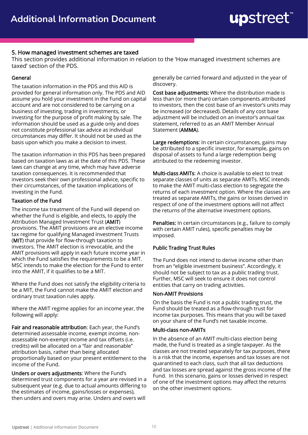#### 5. How managed investment schemes are taxed

This section provides additional information in relation to the 'How managed investment schemes are taxed' section of the PDS.

#### General

The taxation information in the PDS and this AID is provided for general information only. The PDS and AID assume you hold your investment in the Fund on capital account and are not considered to be carrying on a business of investing, trading in investments, or investing for the purpose of profit making by sale. The information should be used as a guide only and does not constitute professional tax advice as individual circumstances may differ. It should not be used as the basis upon which you make a decision to invest.

The taxation information in this PDS has been prepared based on taxation laws as at the date of this PDS. These laws can change at any time, which may have adverse taxation consequences. It is recommended that investors seek their own professional advice, specific to their circumstances, of the taxation implications of investing in the Fund.

#### Taxation of the Fund

The income tax treatment of the Fund will depend on whether the Fund is eligible, and elects, to apply the Attribution Managed Investment Trust (AMIT) provisions. The AMIT provisions are an elective income tax regime for qualifying Managed Investment Trusts (MIT) that provide for flow-through taxation to investors. The AMIT election is irrevocable, and the AMIT provisions will apply in each future income year in which the Fund satisfies the requirements to be a MIT. MSC intends to make the election for the Fund to enter into the AMIT, if it qualifies to be a MIT.

Where the Fund does not satisfy the eligibility criteria to be a MIT, the Fund cannot make the AMIT election and ordinary trust taxation rules apply.

Where the AMIT regime applies for an income year, the following will apply:

Fair and reasonable attribution: Each year, the Fund's determined assessable income, exempt income, nonassessable non-exempt income and tax offsets (i.e. credits) will be allocated on a "fair and reasonable" attribution basis, rather than being allocated proportionally based on your present entitlement to the income of the Fund.

Unders or overs adjustments: Where the Fund's determined trust components for a year are revised in a subsequent year (e.g. due to actual amounts differing to the estimates of income, gains/losses or expenses), then unders and overs may arise. Unders and overs will

generally be carried forward and adjusted in the year of discovery.

Cost base adjustments: Where the distribution made is less than (or more than) certain components attributed to investors, then the cost base of an investor's units may be increased (or decreased). Details of any cost base adjustment will be included on an investor's annual tax statement, referred to as an AMIT Member Annual Statement (AMMA).

Large redemptions: In certain circumstances, gains may be attributed to a specific investor, for example, gains on disposal of assets to fund a large redemption being attributed to the redeeming investor.

Multi-class AMITs: A choice is available to elect to treat separate classes of units as separate AMITs. MSC intends to make the AMIT multi-class election to segregate the returns of each investment option. Where the classes are treated as separate AMITs, the gains or losses derived in respect of one of the investment options will not affect the returns of the alternative investment options.

Penalties: In certain circumstances (e.g., failure to comply with certain AMIT rules), specific penalties may be imposed.

#### Public Trading Trust Rules

The Fund does not intend to derive income other than from an "eligible investment business". Accordingly, it should not be subject to tax as a public trading trust. Further, MSC will seek to ensure it does not control entities that carry on trading activities.

#### Non-AMIT Provisions

On the basis the Fund is not a public trading trust, the Fund should be treated as a flow-through trust for income tax purposes. This means that you will be taxed on your share of the Fund's net taxable income.

#### Multi-class non-AMITs

In the absence of an AMIT multi-class election being made, the Fund is treated as a single taxpayer. As the classes are not treated separately for tax purposes, there is a risk that the income, expenses and tax losses are not quarantined to each class, such that all tax deductions and tax losses are spread against the gross income of the Fund. In this scenario, gains or losses derived in respect of one of the investment options may affect the returns on the other investment options.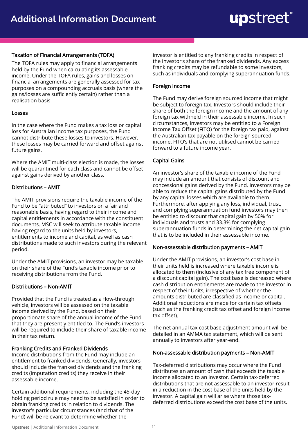#### Taxation of Financial Arrangements (TOFA)

The TOFA rules may apply to financial arrangements held by the Fund when calculating its assessable income. Under the TOFA rules, gains and losses on financial arrangements are generally assessed for tax purposes on a compounding accruals basis (where the gains/losses are sufficiently certain) rather than a realisation basis

#### Losses

In the case where the Fund makes a tax loss or capital loss for Australian income tax purposes, the Fund cannot distribute these losses to investors. However, these losses may be carried forward and offset against future gains.

Where the AMIT multi-class election is made, the losses will be quarantined for each class and cannot be offset against gains derived by another class.

#### Distributions – AMIT

The AMIT provisions require the taxable income of the Fund to be "attributed" to investors on a fair and reasonable basis, having regard to their income and capital entitlements in accordance with the constituent documents. MSC will seek to attribute taxable income having regard to the units held by investors, entitlements to income and capital, as well as cash distributions made to such investors during the relevant period.

Under the AMIT provisions, an investor may be taxable on their share of the Fund's taxable income prior to receiving distributions from the Fund.

#### Distributions – Non-AMIT

Provided that the Fund is treated as a flow-through vehicle, investors will be assessed on the taxable income derived by the Fund, based on their proportionate share of the annual income of the Fund that they are presently entitled to. The Fund's investors will be required to include their share of taxable income in their tax return.

#### Franking Credits and Franked Dividends

Income distributions from the Fund may include an entitlement to franked dividends. Generally, investors should include the franked dividends and the franking credits (imputation credits) they receive in their assessable income.

Certain additional requirements, including the 45-day holding period rule may need to be satisfied in order to obtain franking credits in relation to dividends. The investor's particular circumstances (and that of the Fund) will be relevant to determine whether the

investor is entitled to any franking credits in respect of the investor's share of the franked dividends. Any excess franking credits may be refundable to some investors, such as individuals and complying superannuation funds.

#### Foreign Income

The Fund may derive foreign sourced income that might be subject to foreign tax. Investors should include their share of both the foreign income and the amount of any foreign tax withheld in their assessable income. In such circumstances, investors may be entitled to a Foreign Income Tax Offset (FITO) for the foreign tax paid, against the Australian tax payable on the foreign sourced income. FITO's that are not utilised cannot be carried forward to a future income year.

#### Capital Gains

An investor's share of the taxable income of the Fund may include an amount that consists of discount and concessional gains derived by the Fund. Investors may be able to reduce the capital gains distributed by the Fund by any capital losses which are available to them. Furthermore, after applying any loss, individual, trust, and complying superannuation fund investors may then be entitled to discount that capital gain by 50% for individuals and trusts and 33.3% for complying superannuation funds in determining the net capital gain that is to be included in their assessable income.

#### Non-assessable distribution payments – AMIT

Under the AMIT provisions, an investor's cost base in their units held is increased where taxable income is allocated to them (inclusive of any tax free component of a discount capital gain). The cost base is decreased where cash distribution entitlements are made to the investor in respect of their Units, irrespective of whether the amounts distributed are classified as income or capital. Additional reductions are made for certain tax offsets (such as the franking credit tax offset and foreign income tax offset).

The net annual tax cost base adjustment amount will be detailed in an AMMA tax statement, which will be sent annually to investors after year-end.

#### Non-assessable distribution payments – Non-AMIT

Tax-deferred distributions may occur where the Fund distributes an amount of cash that exceeds the taxable income allocated to an investor. Certain tax-deferred distributions that are not assessable to an investor result in a reduction in the cost base of the units held by the investor. A capital gain will arise where those taxdeferred distributions exceed the cost base of the units.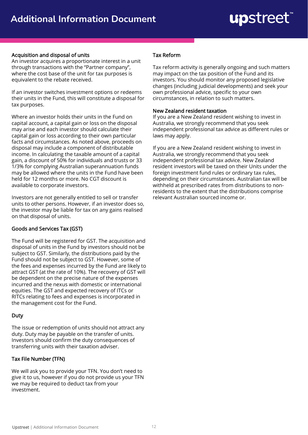#### Acquisition and disposal of units

An investor acquires a proportionate interest in a unit through transactions with the "Partner company", where the cost base of the unit for tax purposes is equivalent to the rebate received.

If an investor switches investment options or redeems their units in the Fund, this will constitute a disposal for tax purposes.

Where an investor holds their units in the Fund on capital account, a capital gain or loss on the disposal may arise and each investor should calculate their capital gain or loss according to their own particular facts and circumstances. As noted above, proceeds on disposal may include a component of distributable income. In calculating the taxable amount of a capital gain, a discount of 50% for individuals and trusts or 33 1/3% for complying Australian superannuation funds may be allowed where the units in the Fund have been held for 12 months or more. No CGT discount is available to corporate investors.

Investors are not generally entitled to sell or transfer units to other persons. However, if an investor does so, the investor may be liable for tax on any gains realised on that disposal of units.

#### Goods and Services Tax (GST)

The Fund will be registered for GST. The acquisition and disposal of units in the Fund by investors should not be subject to GST. Similarly, the distributions paid by the Fund should not be subject to GST. However, some of the fees and expenses incurred by the Fund are likely to attract GST (at the rate of 10%). The recovery of GST will be dependent on the precise nature of the expenses incurred and the nexus with domestic or international equities. The GST and expected recovery of ITCs or RITCs relating to fees and expenses is incorporated in the management cost for the Fund.

#### **Duty**

The issue or redemption of units should not attract any duty. Duty may be payable on the transfer of units. Investors should confirm the duty consequences of transferring units with their taxation adviser.

#### Tax File Number (TFN)

We will ask you to provide your TFN. You don't need to give it to us, however if you do not provide us your TFN we may be required to deduct tax from your investment.

#### Tax Reform

Tax reform activity is generally ongoing and such matters may impact on the tax position of the Fund and its investors. You should monitor any proposed legislative changes (including judicial developments) and seek your own professional advice, specific to your own circumstances, in relation to such matters.

#### New Zealand resident taxation

If you are a New Zealand resident wishing to invest in Australia, we strongly recommend that you seek independent professional tax advice as different rules or laws may apply.

If you are a New Zealand resident wishing to invest in Australia, we strongly recommend that you seek independent professional tax advice. New Zealand resident investors will be taxed on their Units under the foreign investment fund rules or ordinary tax rules, depending on their circumstances. Australian tax will be withheld at prescribed rates from distributions to nonresidents to the extent that the distributions comprise relevant Australian sourced income or.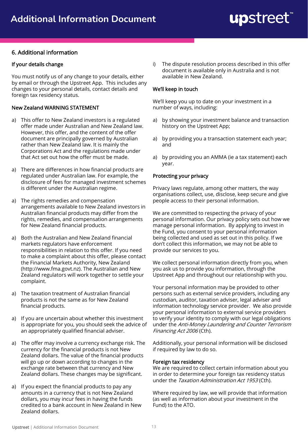#### 6. Additional information

#### If your details change

You must notify us of any change to your details, either by email or through the Upstreet App. This includes any changes to your personal details, contact details and foreign tax residency status.

#### New Zealand WARNING STATEMENT

- a) This offer to New Zealand investors is a regulated offer made under Australian and New Zealand law. However, this offer, and the content of the offer document are principally governed by Australian rather than New Zealand law. It is mainly the Corporations Act and the regulations made under that Act set out how the offer must be made.
- a) There are differences in how financial products are regulated under Australian law. For example, the disclosure of fees for managed investment schemes is different under the Australian regime.
- a) The rights remedies and compensation arrangements available to New Zealand investors in Australian financial products may differ from the rights, remedies, and compensation arrangements for New Zealand financial products.
- a) Both the Australian and New Zealand financial markets regulators have enforcement responsibilities in relation to this offer. If you need to make a complaint about this offer, please contact the Financial Markets Authority, New Zealand (http://www.fma.govt.nz). The Australian and New Zealand regulators will work together to settle your complaint.
- a) The taxation treatment of Australian financial products is not the same as for New Zealand financial products.
- a) If you are uncertain about whether this investment is appropriate for you, you should seek the advice of an appropriately qualified financial adviser.
- a) The offer may involve a currency exchange risk. The currency for the financial products is not New Zealand dollars. The value of the financial products will go up or down according to changes in the exchange rate between that currency and New Zealand dollars. These changes may be significant.
- a) If you expect the financial products to pay any amounts in a currency that is not New Zealand dollars, you may incur fees in having the funds credited to a bank account in New Zealand in New Zealand dollars.

i) The dispute resolution process described in this offer document is available only in Australia and is not available in New Zealand.

#### We'll keep in touch

We'll keep you up to date on your investment in a number of ways, including:

- a) by showing your investment balance and transaction history on the Upstreet App;
- a) by providing you a transaction statement each year; and
- a) by providing you an AMMA (ie a tax statement) each year.

#### Protecting your privacy

Privacy laws regulate, among other matters, the way organisations collect, use, disclose, keep secure and give people access to their personal information.

We are committed to respecting the privacy of your personal information. Our privacy policy sets out how we manage personal information. By applying to invest in the Fund, you consent to your personal information being collected and used as set out in this policy. If we don't collect this information, we may not be able to provide our services to you.

We collect personal information directly from you, when you ask us to provide you information, through the Upstreet App and throughout our relationship with you.

Your personal information may be provided to other persons such as external service providers, including any custodian, auditor, taxation adviser, legal adviser and information technology service provider. We also provide your personal information to external service providers to verify your identity to comply with our legal obligations under the Anti-Money Laundering and Counter Terrorism Financing Act 2006 (Cth).

Additionally, your personal information will be disclosed if required by law to do so.

#### Foreign tax residency

We are required to collect certain information about you in order to determine your foreign tax residency status under the Taxation Administration Act 1953 (Cth).

Where required by law, we will provide that information (as well as information about your investment in the Fund) to the ATO.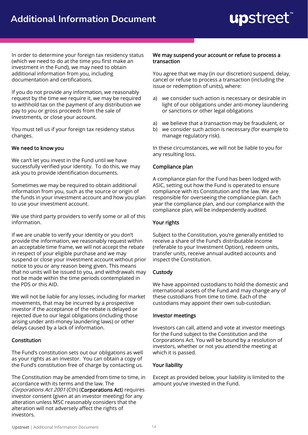In order to determine your foreign tax residency status (which we need to do at the time you first make an investment in the Fund), we may need to obtain additional information from you, including documentation and certifications.

If you do not provide any information, we reasonably request by the time we require it, we may be required to withhold tax on the payment of any distribution we pay to you or gross proceeds from the sale of investments, or close your account.

You must tell us if your foreign tax residency status changes.

#### We need to know you

We can't let you invest in the Fund until we have successfully verified your identity. To do this, we may ask you to provide identification documents.

Sometimes we may be required to obtain additional information from you, such as the source or origin of the funds in your investment account and how you plan to use your investment account.

We use third party providers to verify some or all of this information.

If we are unable to verify your identity or you don't provide the information, we reasonably request within an acceptable time frame, we will not accept the rebate in respect of your eligible purchase and we may suspend or close your investment account without prior notice to you or any reason being given. This means that no units will be issued to you, and withdrawals may not be made within the time periods contemplated in the PDS or this AID.

We will not be liable for any losses, including for market movements, that may be incurred by a prospective investor if the acceptance of the rebate is delayed or rejected due to our legal obligations (including those arising under anti-money laundering laws) or other delays caused by a lack of information.

#### Constitution

The Fund's constitution sets out our obligations as well as your rights as an investor. You can obtain a copy of the Fund's constitution free of charge by contacting us.

The Constitution may be amended from time to time, in accordance with its terms and the law. The Corporations Act 2001 (Cth) (Corporations Act) requires investor consent (given at an investor meeting) for any alteration unless MSC reasonably considers that the alteration will not adversely affect the rights of investors.

#### We may suspend your account or refuse to process a transaction

You agree that we may (in our discretion) suspend, delay, cancel or refuse to process a transaction (including the issue or redemption of units), where:

- a) we consider such action is necessary or desirable in light of our obligations under anti-money laundering or sanctions or other legal obligations
- a) we believe that a transaction may be fraudulent, or
- b) we consider such action is necessary (for example to manage regulatory risk).

In these circumstances, we will not be liable to you for any resulting loss.

#### Compliance plan

A compliance plan for the Fund has been lodged with ASIC, setting out how the Fund is operated to ensure compliance with its Constitution and the law. We are responsible for overseeing the compliance plan. Each year the compliance plan, and our compliance with the compliance plan, will be independently audited.

#### Your rights

Subject to the Constitution, you're generally entitled to receive a share of the Fund's distributable income (referable to your Investment Option), redeem units, transfer units, receive annual audited accounts and inspect the Constitution.

#### **Custody**

We have appointed custodians to hold the domestic and international assets of the Fund and may change any of these custodians from time to time. Each of the custodians may appoint their own sub-custodian.

#### Investor meetings

Investors can call, attend and vote at investor meetings for the Fund subject to the Constitution and the Corporations Act. You will be bound by a resolution of investors, whether or not you attend the meeting at which it is passed.

#### Your liability

Except as provided below, your liability is limited to the amount you've invested in the Fund.